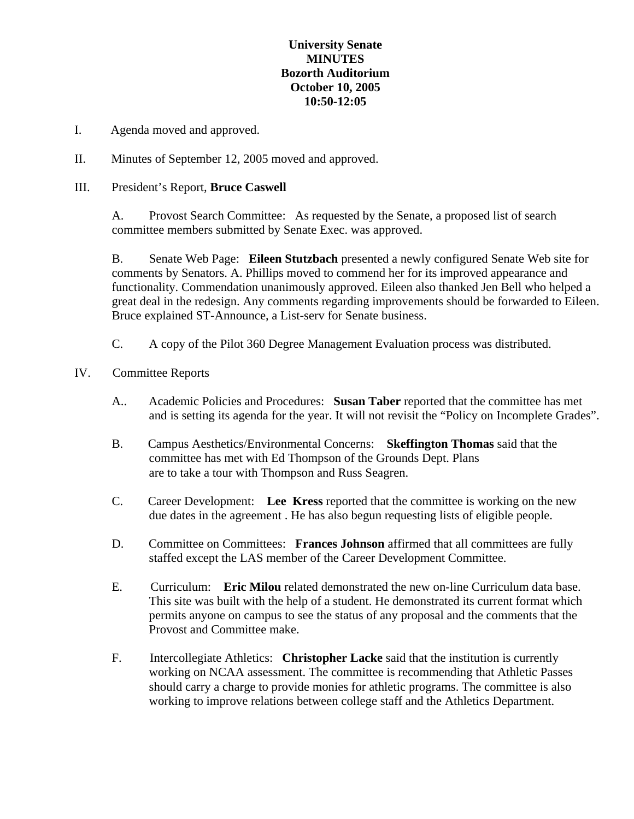## **University Senate MINUTES Bozorth Auditorium October 10, 2005 10:50-12:05**

- I. Agenda moved and approved.
- II. Minutes of September 12, 2005 moved and approved.

## III. President's Report, **Bruce Caswell**

A. Provost Search Committee: As requested by the Senate, a proposed list of search committee members submitted by Senate Exec. was approved.

B. Senate Web Page: **Eileen Stutzbach** presented a newly configured Senate Web site for comments by Senators. A. Phillips moved to commend her for its improved appearance and functionality. Commendation unanimously approved. Eileen also thanked Jen Bell who helped a great deal in the redesign. Any comments regarding improvements should be forwarded to Eileen. Bruce explained ST-Announce, a List-serv for Senate business.

C. A copy of the Pilot 360 Degree Management Evaluation process was distributed.

## IV. Committee Reports

- A.. Academic Policies and Procedures: **Susan Taber** reported that the committee has met and is setting its agenda for the year. It will not revisit the "Policy on Incomplete Grades".
- B. Campus Aesthetics/Environmental Concerns: **Skeffington Thomas** said that the committee has met with Ed Thompson of the Grounds Dept. Plans are to take a tour with Thompson and Russ Seagren.
- C. Career Development: **Lee Kress** reported that the committee is working on the new due dates in the agreement . He has also begun requesting lists of eligible people.
- D. Committee on Committees: **Frances Johnson** affirmed that all committees are fully staffed except the LAS member of the Career Development Committee.
- E. Curriculum: **Eric Milou** related demonstrated the new on-line Curriculum data base. This site was built with the help of a student. He demonstrated its current format which permits anyone on campus to see the status of any proposal and the comments that the Provost and Committee make.
- F. Intercollegiate Athletics: **Christopher Lacke** said that the institution is currently working on NCAA assessment. The committee is recommending that Athletic Passes should carry a charge to provide monies for athletic programs. The committee is also working to improve relations between college staff and the Athletics Department.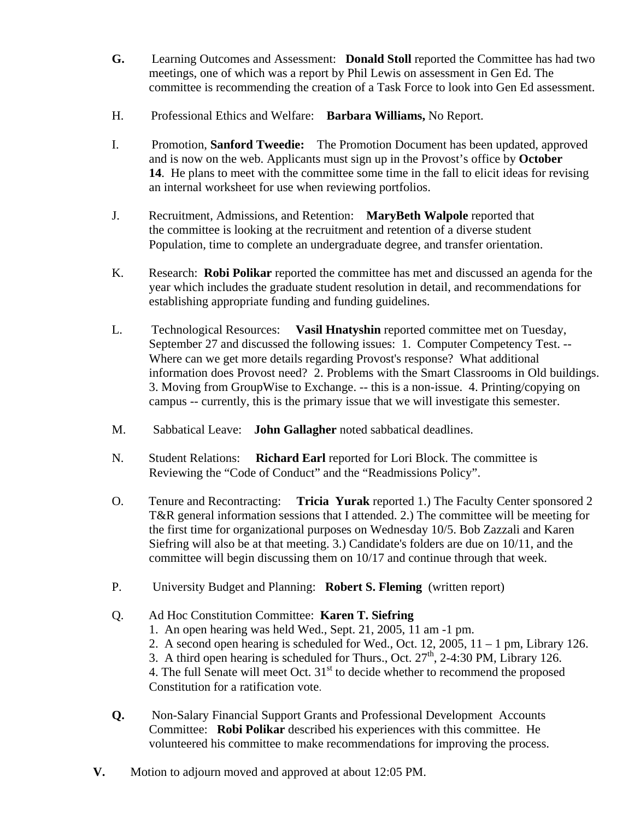- **G.** Learning Outcomes and Assessment: **Donald Stoll** reported the Committee has had two meetings, one of which was a report by Phil Lewis on assessment in Gen Ed. The committee is recommending the creation of a Task Force to look into Gen Ed assessment.
- H. Professional Ethics and Welfare: **Barbara Williams,** No Report.
- I. Promotion, **Sanford Tweedie:** The Promotion Document has been updated, approved and is now on the web. Applicants must sign up in the Provost's office by **October 14**. He plans to meet with the committee some time in the fall to elicit ideas for revising an internal worksheet for use when reviewing portfolios.
- J. Recruitment, Admissions, and Retention: **MaryBeth Walpole** reported that the committee is looking at the recruitment and retention of a diverse student Population, time to complete an undergraduate degree, and transfer orientation.
- K. Research: **Robi Polikar** reported the committee has met and discussed an agenda for the year which includes the graduate student resolution in detail, and recommendations for establishing appropriate funding and funding guidelines.
- L. Technological Resources: **Vasil Hnatyshin** reported committee met on Tuesday, September 27 and discussed the following issues: 1. Computer Competency Test. -- Where can we get more details regarding Provost's response? What additional information does Provost need? 2. Problems with the Smart Classrooms in Old buildings. 3. Moving from GroupWise to Exchange. -- this is a non-issue. 4. Printing/copying on campus -- currently, this is the primary issue that we will investigate this semester.
- M. Sabbatical Leave: **John Gallagher** noted sabbatical deadlines.
- N. Student Relations: **Richard Earl** reported for Lori Block. The committee is Reviewing the "Code of Conduct" and the "Readmissions Policy".
- O. Tenure and Recontracting: **Tricia Yurak** reported 1.) The Faculty Center sponsored 2 T&R general information sessions that I attended. 2.) The committee will be meeting for the first time for organizational purposes on Wednesday 10/5. Bob Zazzali and Karen Siefring will also be at that meeting. 3.) Candidate's folders are due on 10/11, and the committee will begin discussing them on 10/17 and continue through that week.
- P. University Budget and Planning: **Robert S. Fleming** (written report)

## Q. Ad Hoc Constitution Committee: **Karen T. Siefring**

- 1. An open hearing was held Wed., Sept. 21, 2005, 11 am -1 pm.
- 2. A second open hearing is scheduled for Wed., Oct. 12, 2005,  $11 1$  pm, Library 126.
- 3. A third open hearing is scheduled for Thurs., Oct.  $27<sup>th</sup>$ , 2-4:30 PM, Library 126.

4. The full Senate will meet Oct.  $31<sup>st</sup>$  to decide whether to recommend the proposed Constitution for a ratification vote.

- **Q.** Non-Salary Financial Support Grants and Professional Development Accounts Committee: **Robi Polikar** described his experiences with this committee. He volunteered his committee to make recommendations for improving the process.
- **V.** Motion to adjourn moved and approved at about 12:05 PM.